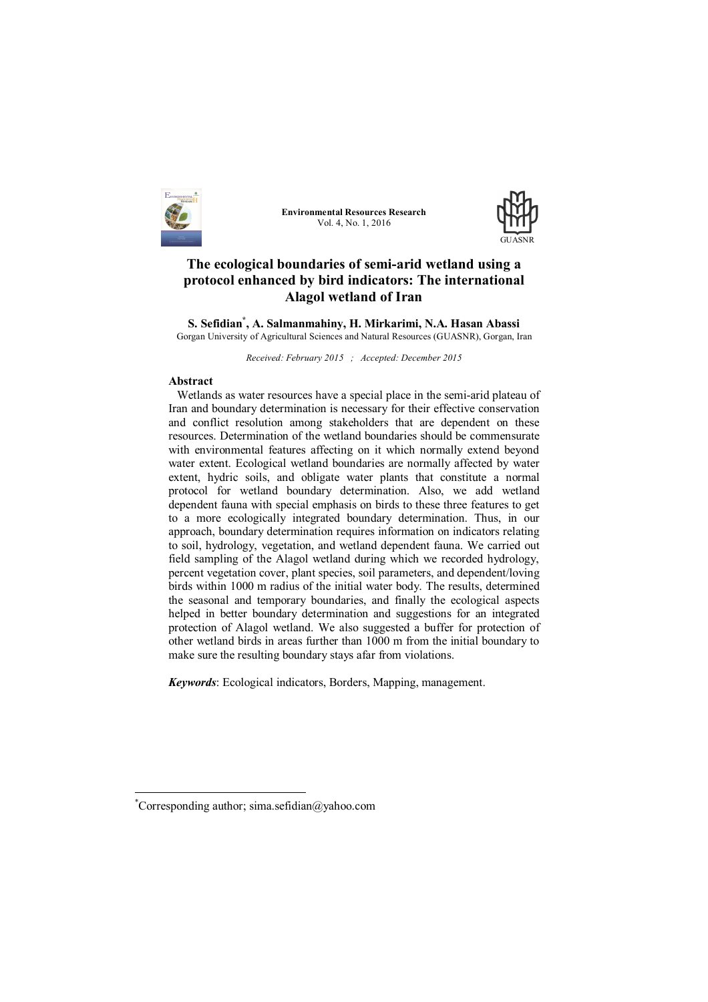

**Environmental Resources Research** Vol. 4, No. 1, 2016



# **The ecological boundaries of semi-arid wetland using a protocol enhanced by bird indicators: The international Alagol wetland of Iran**

**S. Sefidian\* , A. Salmanmahiny, H. Mirkarimi, N.A. Hasan Abassi** Gorgan University of Agricultural Sciences and Natural Resources (GUASNR), Gorgan, Iran

*Received: February 2015 ; Accepted: December 2015*

#### **Abstract**

Wetlands as water resources have a special place in the semi-arid plateau of Iran and boundary determination is necessary for their effective conservation and conflict resolution among stakeholders that are dependent on these resources. Determination of the wetland boundaries should be commensurate with environmental features affecting on it which normally extend beyond water extent. Ecological wetland boundaries are normally affected by water extent, hydric soils, and obligate water plants that constitute a normal protocol for wetland boundary determination. Also, we add wetland dependent fauna with special emphasis on birds to these three features to get to a more ecologically integrated boundary determination. Thus, in our approach, boundary determination requires information on indicators relating to soil, hydrology, vegetation, and wetland dependent fauna. We carried out field sampling of the Alagol wetland during which we recorded hydrology, percent vegetation cover, plant species, soil parameters, and dependent/loving birds within 1000 m radius of the initial water body. The results, determined the seasonal and temporary boundaries, and finally the ecological aspects helped in better boundary determination and suggestions for an integrated protection of Alagol wetland. We also suggested a buffer for protection of other wetland birds in areas further than 1000 m from the initial boundary to make sure the resulting boundary stays afar from violations.

*Keywords*: Ecological indicators, Borders, Mapping, management.

 $\overline{a}$ 

<sup>\*</sup>Corresponding author; sima.sefidian@yahoo.com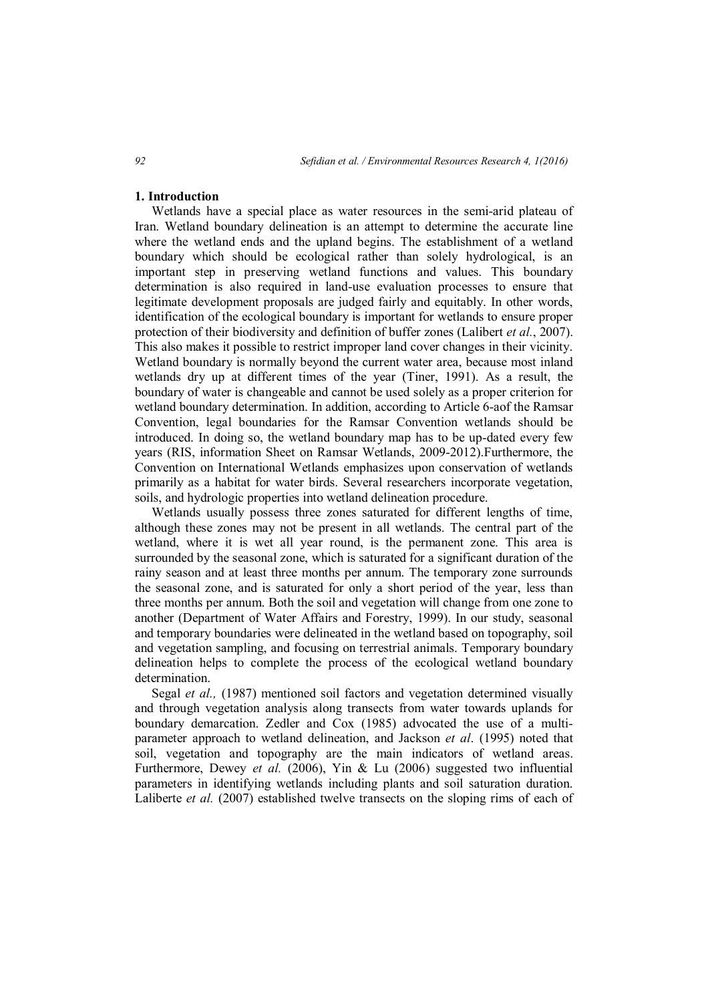#### **1. Introduction**

Wetlands have a special place as water resources in the semi-arid plateau of Iran. Wetland boundary delineation is an attempt to determine the accurate line where the wetland ends and the upland begins. The establishment of a wetland boundary which should be ecological rather than solely hydrological, is an important step in preserving wetland functions and values. This boundary determination is also required in land-use evaluation processes to ensure that legitimate development proposals are judged fairly and equitably. In other words, identification of the ecological boundary is important for wetlands to ensure proper protection of their biodiversity and definition of buffer zones (Lalibert *et al.*, 2007). This also makes it possible to restrict improper land cover changes in their vicinity. Wetland boundary is normally beyond the current water area, because most inland wetlands dry up at different times of the year (Tiner, 1991). As a result, the boundary of water is changeable and cannot be used solely as a proper criterion for wetland boundary determination. In addition, according to Article 6-aof the Ramsar Convention, legal boundaries for the Ramsar Convention wetlands should be introduced. In doing so, the wetland boundary map has to be up-dated every few years (RIS, information Sheet on Ramsar Wetlands, 2009-2012).Furthermore, the Convention on International Wetlands emphasizes upon conservation of wetlands primarily as a habitat for water birds. Several researchers incorporate vegetation, soils, and hydrologic properties into wetland delineation procedure.

Wetlands usually possess three zones saturated for different lengths of time, although these zones may not be present in all wetlands. The central part of the wetland, where it is wet all year round, is the permanent zone. This area is surrounded by the seasonal zone, which is saturated for a significant duration of the rainy season and at least three months per annum. The temporary zone surrounds the seasonal zone, and is saturated for only a short period of the year, less than three months per annum. Both the soil and vegetation will change from one zone to another (Department of Water Affairs and Forestry, 1999). In our study, seasonal and temporary boundaries were delineated in the wetland based on topography, soil and vegetation sampling, and focusing on terrestrial animals. Temporary boundary delineation helps to complete the process of the ecological wetland boundary determination.

Segal *et al.,* (1987) mentioned soil factors and vegetation determined visually and through vegetation analysis along transects from water towards uplands for boundary demarcation. Zedler and Cox (1985) advocated the use of a multiparameter approach to wetland delineation, and Jackson *et al*. (1995) noted that soil, vegetation and topography are the main indicators of wetland areas. Furthermore, Dewey *et al.* (2006), Yin & Lu (2006) suggested two influential parameters in identifying wetlands including plants and soil saturation duration. Laliberte *et al.* (2007) established twelve transects on the sloping rims of each of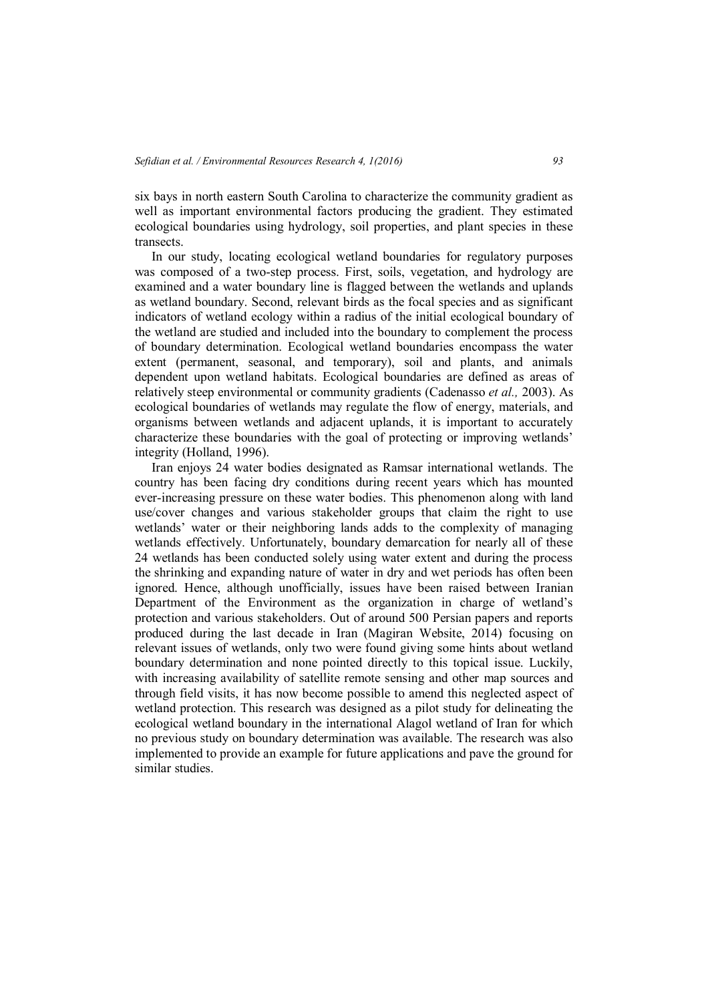six bays in north eastern South Carolina to characterize the community gradient as well as important environmental factors producing the gradient. They estimated ecological boundaries using hydrology, soil properties, and plant species in these transects.

In our study, locating ecological wetland boundaries for regulatory purposes was composed of a two-step process. First, soils, vegetation, and hydrology are examined and a water boundary line is flagged between the wetlands and uplands as wetland boundary. Second, relevant birds as the focal species and as significant indicators of wetland ecology within a radius of the initial ecological boundary of the wetland are studied and included into the boundary to complement the process of boundary determination. Ecological wetland boundaries encompass the water extent (permanent, seasonal, and temporary), soil and plants, and animals dependent upon wetland habitats. Ecological boundaries are defined as areas of relatively steep environmental or community gradients (Cadenasso *et al.,* 2003). As ecological boundaries of wetlands may regulate the flow of energy, materials, and organisms between wetlands and adjacent uplands, it is important to accurately characterize these boundaries with the goal of protecting or improving wetlands' integrity (Holland, 1996).

Iran enjoys 24 water bodies designated as Ramsar international wetlands. The country has been facing dry conditions during recent years which has mounted ever-increasing pressure on these water bodies. This phenomenon along with land use/cover changes and various stakeholder groups that claim the right to use wetlands' water or their neighboring lands adds to the complexity of managing wetlands effectively. Unfortunately, boundary demarcation for nearly all of these 24 wetlands has been conducted solely using water extent and during the process the shrinking and expanding nature of water in dry and wet periods has often been ignored. Hence, although unofficially, issues have been raised between Iranian Department of the Environment as the organization in charge of wetland's protection and various stakeholders. Out of around 500 Persian papers and reports produced during the last decade in Iran (Magiran Website, 2014) focusing on relevant issues of wetlands, only two were found giving some hints about wetland boundary determination and none pointed directly to this topical issue. Luckily, with increasing availability of satellite remote sensing and other map sources and through field visits, it has now become possible to amend this neglected aspect of wetland protection. This research was designed as a pilot study for delineating the ecological wetland boundary in the international Alagol wetland of Iran for which no previous study on boundary determination was available. The research was also implemented to provide an example for future applications and pave the ground for similar studies.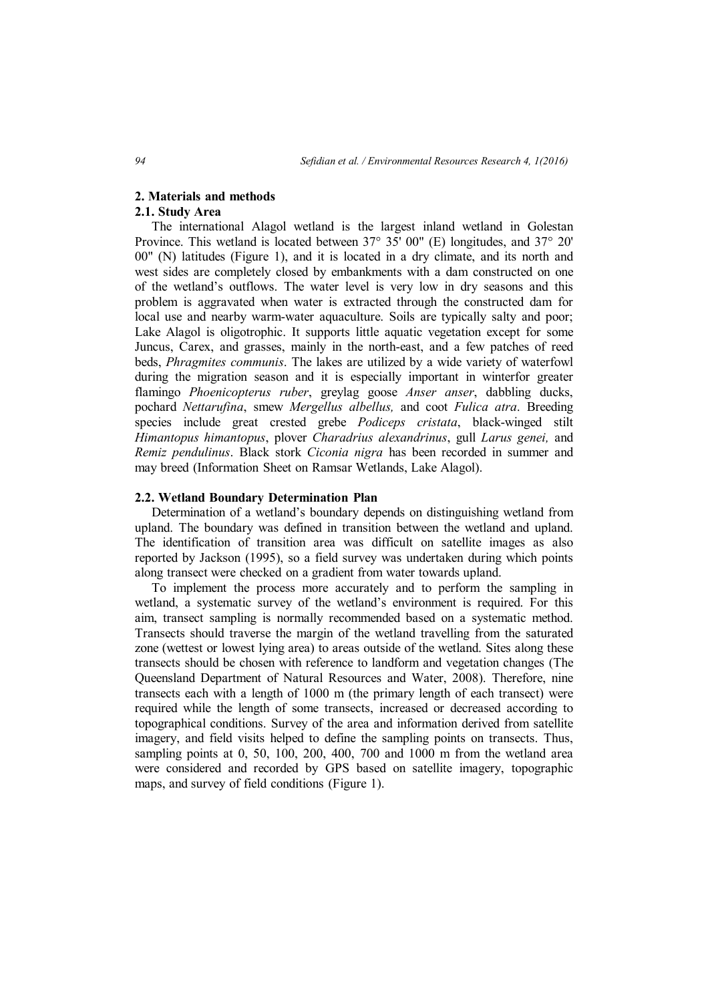## **2. Materials and methods**

# **2.1. Study Area**

The international Alagol wetland is the largest inland wetland in Golestan Province. This wetland is located between 37° 35' 00" (E) longitudes, and 37° 20' 00" (N) latitudes (Figure 1), and it is located in a dry climate, and its north and west sides are completely closed by embankments with a dam constructed on one of the wetland's outflows. The water level is very low in dry seasons and this problem is aggravated when water is extracted through the constructed dam for local use and nearby warm-water aquaculture. Soils are typically salty and poor; Lake Alagol is oligotrophic. It supports little aquatic vegetation except for some Juncus, Carex, and grasses, mainly in the north-east, and a few patches of reed beds, *Phragmites communis*. The lakes are utilized by a wide variety of waterfowl during the migration season and it is especially important in winterfor greater flamingo *Phoenicopterus ruber*, greylag goose *Anser anser*, dabbling ducks, pochard *Nettarufina*, smew *Mergellus albellus,* and coot *Fulica atra*. Breeding species include great crested grebe *Podiceps cristata*, black-winged stilt *Himantopus himantopus*, plover *Charadrius alexandrinus*, gull *Larus genei,* and *Remiz pendulinus*. Black stork *Ciconia nigra* has been recorded in summer and may breed (Information Sheet on Ramsar Wetlands, Lake Alagol).

#### **2.2. Wetland Boundary Determination Plan**

Determination of a wetland's boundary depends on distinguishing wetland from upland. The boundary was defined in transition between the wetland and upland. The identification of transition area was difficult on satellite images as also reported by Jackson (1995), so a field survey was undertaken during which points along transect were checked on a gradient from water towards upland.

To implement the process more accurately and to perform the sampling in wetland, a systematic survey of the wetland's environment is required. For this aim, transect sampling is normally recommended based on a systematic method. Transects should traverse the margin of the wetland travelling from the saturated zone (wettest or lowest lying area) to areas outside of the wetland. Sites along these transects should be chosen with reference to landform and vegetation changes (The Queensland Department of Natural Resources and Water, 2008). Therefore, nine transects each with a length of 1000 m (the primary length of each transect) were required while the length of some transects, increased or decreased according to topographical conditions. Survey of the area and information derived from satellite imagery, and field visits helped to define the sampling points on transects. Thus, sampling points at 0, 50, 100, 200, 400, 700 and 1000 m from the wetland area were considered and recorded by GPS based on satellite imagery, topographic maps, and survey of field conditions (Figure 1).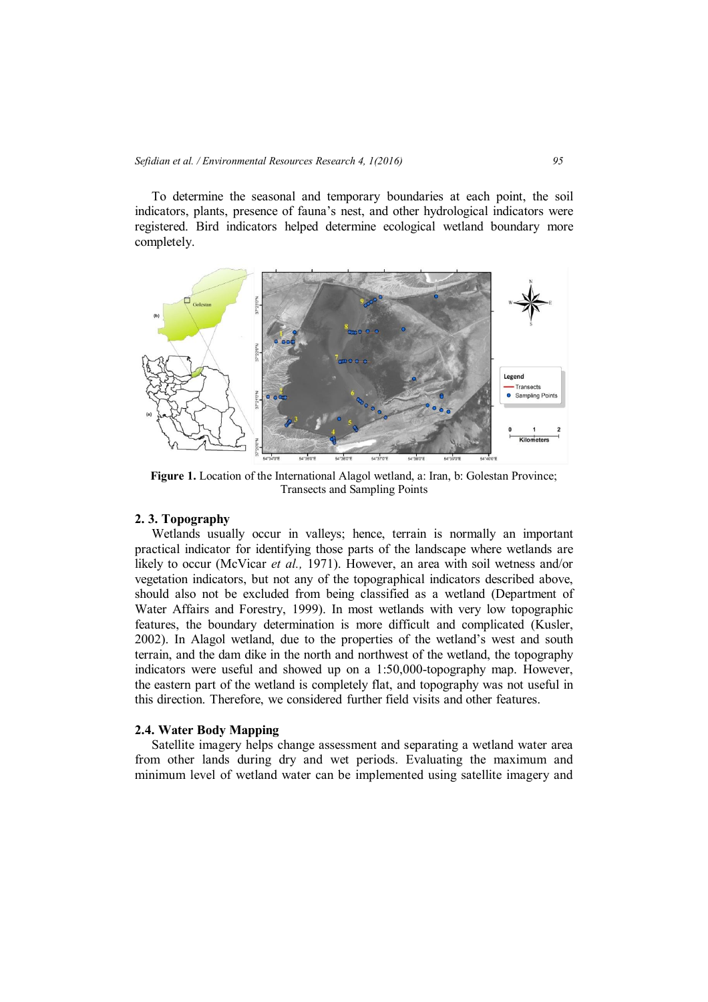To determine the seasonal and temporary boundaries at each point, the soil indicators, plants, presence of fauna's nest, and other hydrological indicators were registered. Bird indicators helped determine ecological wetland boundary more completely.



**Figure 1.** Location of the International Alagol wetland, a: Iran, b: Golestan Province; Transects and Sampling Points

## **2. 3. Topography**

Wetlands usually occur in valleys; hence, terrain is normally an important practical indicator for identifying those parts of the landscape where wetlands are likely to occur (McVicar *et al.,* 1971). However, an area with soil wetness and/or vegetation indicators, but not any of the topographical indicators described above, should also not be excluded from being classified as a wetland (Department of Water Affairs and Forestry, 1999). In most wetlands with very low topographic features, the boundary determination is more difficult and complicated (Kusler, 2002). In Alagol wetland, due to the properties of the wetland's west and south terrain, and the dam dike in the north and northwest of the wetland, the topography indicators were useful and showed up on a 1:50,000-topography map. However, the eastern part of the wetland is completely flat, and topography was not useful in this direction. Therefore, we considered further field visits and other features.

## **2.4. Water Body Mapping**

Satellite imagery helps change assessment and separating a wetland water area from other lands during dry and wet periods. Evaluating the maximum and minimum level of wetland water can be implemented using satellite imagery and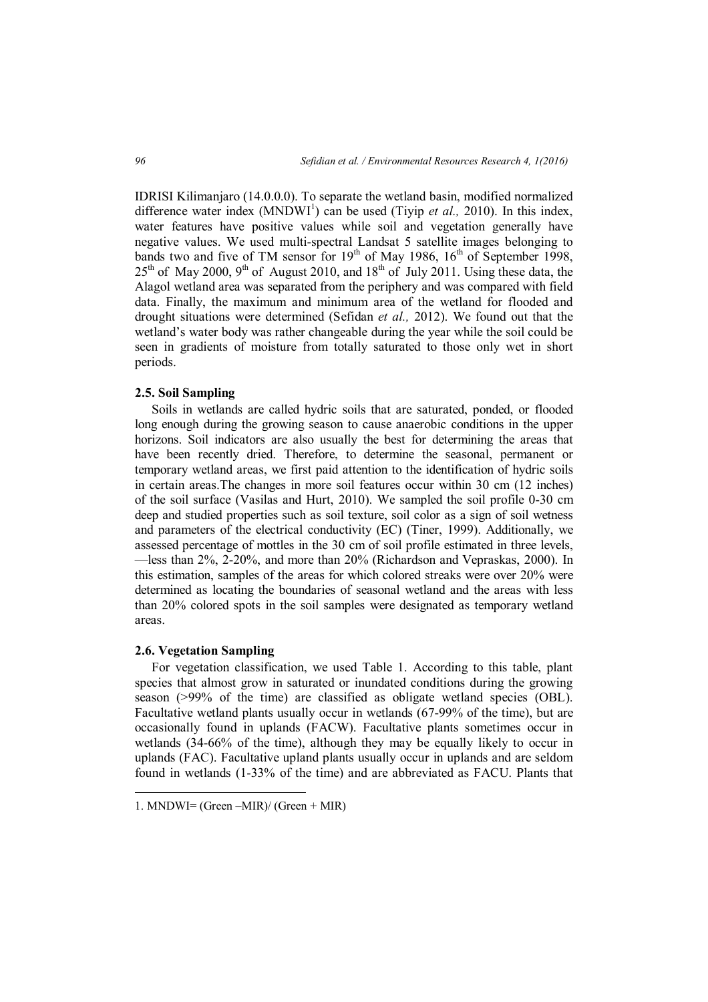IDRISI Kilimanjaro (14.0.0.0). To separate the wetland basin, modified normalized difference water index (MNDWI<sup>1</sup>) can be used (Tiyip *et al.*, 2010). In this index, water features have positive values while soil and vegetation generally have negative values. We used multi-spectral Landsat 5 satellite images belonging to bands two and five of TM sensor for  $19<sup>th</sup>$  of May 1986,  $16<sup>th</sup>$  of September 1998,  $25<sup>th</sup>$  of May 2000, 9<sup>th</sup> of August 2010, and 18<sup>th</sup> of July 2011. Using these data, the Alagol wetland area was separated from the periphery and was compared with field data. Finally, the maximum and minimum area of the wetland for flooded and drought situations were determined (Sefidan *et al.,* 2012). We found out that the wetland's water body was rather changeable during the year while the soil could be seen in gradients of moisture from totally saturated to those only wet in short periods.

#### **2.5. Soil Sampling**

Soils in wetlands are called hydric soils that are saturated, ponded, or flooded long enough during the growing season to cause anaerobic conditions in the upper horizons. Soil indicators are also usually the best for determining the areas that have been recently dried. Therefore, to determine the seasonal, permanent or temporary wetland areas, we first paid attention to the identification of hydric soils in certain areas.The changes in more soil features occur within 30 cm (12 inches) of the soil surface (Vasilas and Hurt, 2010). We sampled the soil profile 0-30 cm deep and studied properties such as soil texture, soil color as a sign of soil wetness and parameters of the electrical conductivity (EC) (Tiner, 1999). Additionally, we assessed percentage of mottles in the 30 cm of soil profile estimated in three levels, —less than 2%, 2-20%, and more than 20% (Richardson and Vepraskas, 2000). In this estimation, samples of the areas for which colored streaks were over 20% were determined as locating the boundaries of seasonal wetland and the areas with less than 20% colored spots in the soil samples were designated as temporary wetland areas.

## **2.6. Vegetation Sampling**

 $\overline{a}$ 

For vegetation classification, we used Table 1. According to this table, plant species that almost grow in saturated or inundated conditions during the growing season  $(>99\%$  of the time) are classified as obligate wetland species  $(OBL)$ . Facultative wetland plants usually occur in wetlands (67-99% of the time), but are occasionally found in uplands (FACW). Facultative plants sometimes occur in wetlands (34-66% of the time), although they may be equally likely to occur in uplands (FAC). Facultative upland plants usually occur in uplands and are seldom found in wetlands (1-33% of the time) and are abbreviated as FACU. Plants that

<sup>1.</sup> MNDWI= (Green –MIR)/ (Green + MIR)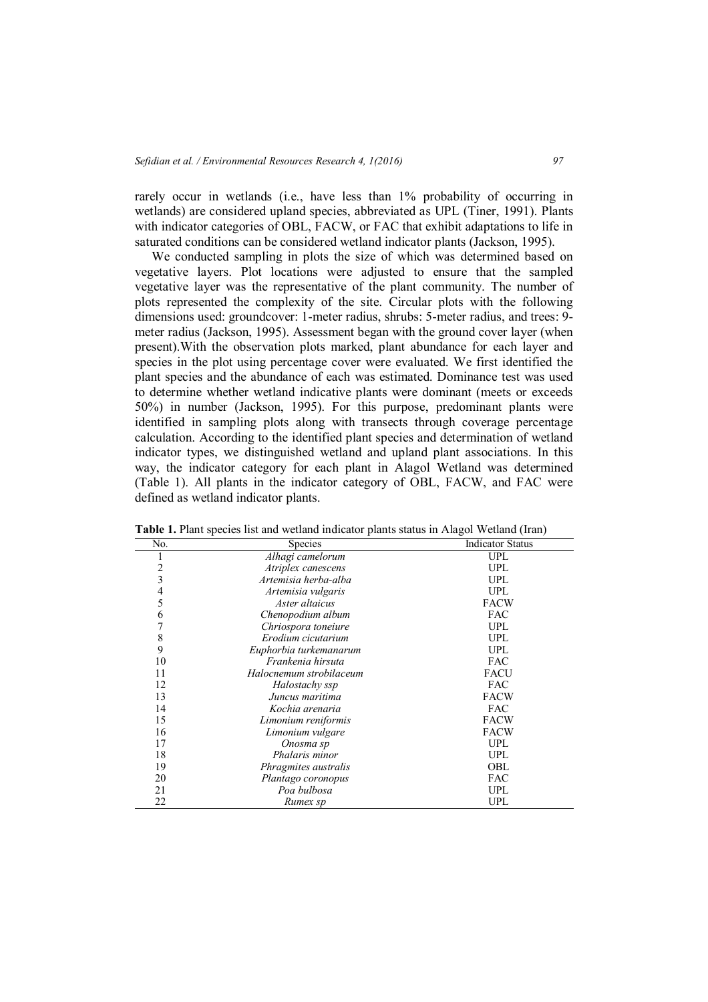rarely occur in wetlands (i.e., have less than 1% probability of occurring in wetlands) are considered upland species, abbreviated as UPL (Tiner, 1991). Plants with indicator categories of OBL, FACW, or FAC that exhibit adaptations to life in saturated conditions can be considered wetland indicator plants (Jackson, 1995).

We conducted sampling in plots the size of which was determined based on vegetative layers. Plot locations were adjusted to ensure that the sampled vegetative layer was the representative of the plant community. The number of plots represented the complexity of the site. Circular plots with the following dimensions used: groundcover: 1-meter radius, shrubs: 5-meter radius, and trees: 9 meter radius (Jackson, 1995). Assessment began with the ground cover layer (when present).With the observation plots marked, plant abundance for each layer and species in the plot using percentage cover were evaluated. We first identified the plant species and the abundance of each was estimated. Dominance test was used to determine whether wetland indicative plants were dominant (meets or exceeds 50%) in number (Jackson, 1995). For this purpose, predominant plants were identified in sampling plots along with transects through coverage percentage calculation. According to the identified plant species and determination of wetland indicator types, we distinguished wetland and upland plant associations. In this way, the indicator category for each plant in Alagol Wetland was determined (Table 1). All plants in the indicator category of OBL, FACW, and FAC were defined as wetland indicator plants.

| No.                     | <b>Species</b>          | <b>Indicator Status</b> |
|-------------------------|-------------------------|-------------------------|
|                         | Alhagi camelorum        | <b>UPL</b>              |
| $\overline{c}$          | Atriplex canescens      | <b>UPL</b>              |
| $\overline{\mathbf{3}}$ | Artemisia herba-alba    | <b>UPL</b>              |
| $\overline{4}$          | Artemisia vulgaris      | <b>UPL</b>              |
| 5                       | Aster altaicus          | <b>FACW</b>             |
| 6                       | Chenopodium album       | <b>FAC</b>              |
| 7                       | Chriospora toneiure     | <b>UPL</b>              |
| 8                       | Erodium cicutarium      | <b>UPL</b>              |
| 9                       | Euphorbia turkemanarum  | <b>UPL</b>              |
| 10                      | Frankenia hirsuta       | <b>FAC</b>              |
| 11                      | Halocnemum strobilaceum | <b>FACU</b>             |
| 12                      | Halostachy ssp          | <b>FAC</b>              |
| 13                      | Juncus maritima         | <b>FACW</b>             |
| 14                      | Kochia arenaria         | <b>FAC</b>              |
| 15                      | Limonium reniformis     | <b>FACW</b>             |
| 16                      | Limonium vulgare        | <b>FACW</b>             |
| 17                      | Onosma sp               | <b>UPL</b>              |
| 18                      | Phalaris minor          | <b>UPL</b>              |
| 19                      | Phragmites australis    | OBL                     |
| 20                      | Plantago coronopus      | <b>FAC</b>              |
| 21                      | Poa bulbosa             | <b>UPL</b>              |
| 22                      | Rumex sp                | UPL                     |

**Table 1.** Plant species list and wetland indicator plants status in Alagol Wetland (Iran)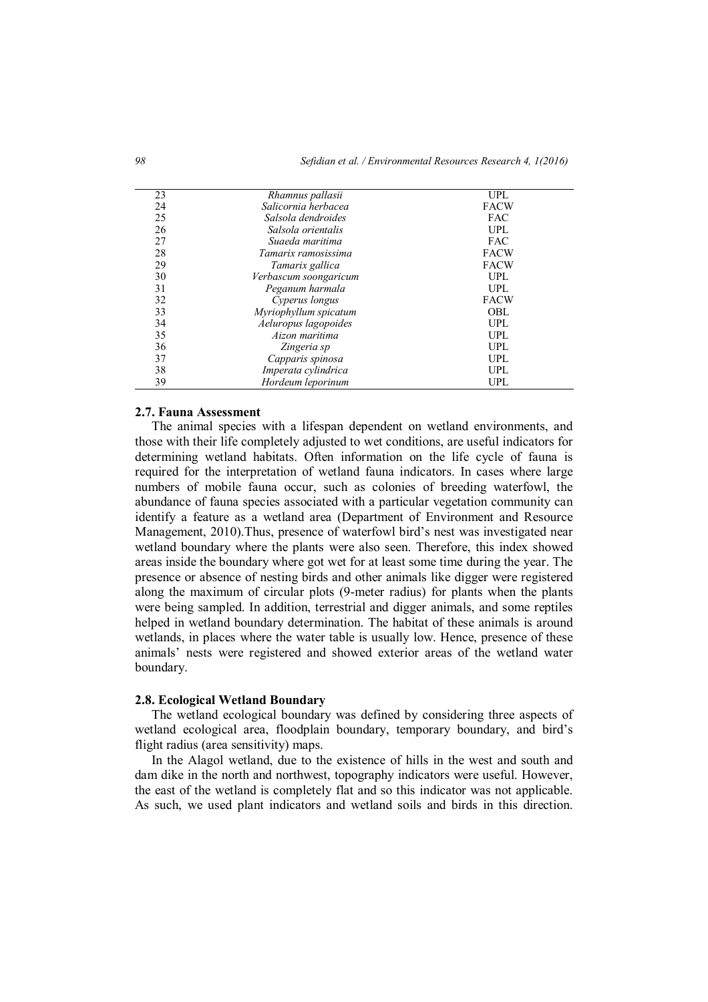| 23 | Rhamnus pallasii      | UPL         |
|----|-----------------------|-------------|
| 24 | Salicornia herbacea   | <b>FACW</b> |
| 25 | Salsola dendroides    | <b>FAC</b>  |
| 26 | Salsola orientalis    | <b>UPL</b>  |
| 27 | Suaeda maritima       | <b>FAC</b>  |
| 28 | Tamarix ramosissima   | <b>FACW</b> |
| 29 | Tamarix gallica       | <b>FACW</b> |
| 30 | Verbascum soongaricum | <b>UPL</b>  |
| 31 | Peganum harmala       | <b>UPL</b>  |
| 32 | Cyperus longus        | <b>FACW</b> |
| 33 | Myriophyllum spicatum | OBL         |
| 34 | Aeluropus lagopoides  | <b>UPL</b>  |
| 35 | Aizon maritima        | <b>UPL</b>  |
| 36 | Zingeria sp           | <b>UPL</b>  |
| 37 | Capparis spinosa      | <b>UPL</b>  |
| 38 | Imperata cylindrica   | <b>UPL</b>  |
| 39 | Hordeum leporinum     | <b>UPL</b>  |
|    |                       |             |

# **2.7. Fauna Assessment**

The animal species with a lifespan dependent on wetland environments, and those with their life completely adjusted to wet conditions, are useful indicators for determining wetland habitats. Often information on the life cycle of fauna is required for the interpretation of wetland fauna indicators. In cases where large numbers of mobile fauna occur, such as colonies of breeding waterfowl, the abundance of fauna species associated with a particular vegetation community can identify a feature as a wetland area (Department of Environment and Resource Management, 2010).Thus, presence of waterfowl bird's nest was investigated near wetland boundary where the plants were also seen. Therefore, this index showed areas inside the boundary where got wet for at least some time during the year. The presence or absence of nesting birds and other animals like digger were registered along the maximum of circular plots (9-meter radius) for plants when the plants were being sampled. In addition, terrestrial and digger animals, and some reptiles helped in wetland boundary determination. The habitat of these animals is around wetlands, in places where the water table is usually low. Hence, presence of these animals' nests were registered and showed exterior areas of the wetland water boundary.

## **2.8. Ecological Wetland Boundary**

The wetland ecological boundary was defined by considering three aspects of wetland ecological area, floodplain boundary, temporary boundary, and bird's flight radius (area sensitivity) maps.

In the Alagol wetland, due to the existence of hills in the west and south and dam dike in the north and northwest, topography indicators were useful. However, the east of the wetland is completely flat and so this indicator was not applicable. As such, we used plant indicators and wetland soils and birds in this direction.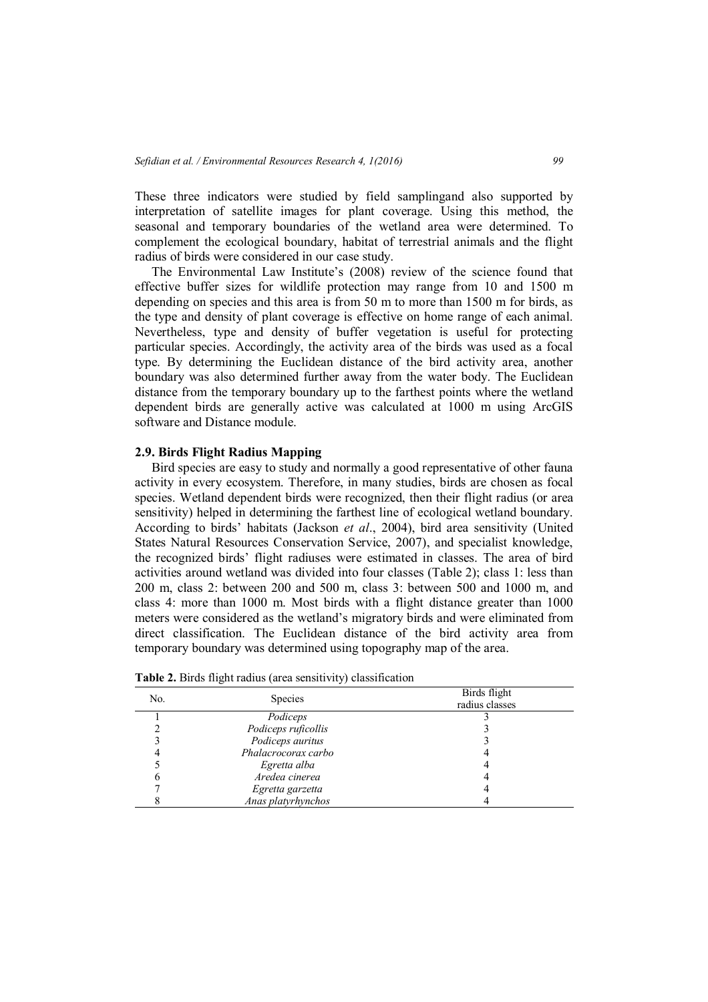These three indicators were studied by field samplingand also supported by interpretation of satellite images for plant coverage. Using this method, the seasonal and temporary boundaries of the wetland area were determined. To complement the ecological boundary, habitat of terrestrial animals and the flight radius of birds were considered in our case study.

The Environmental Law Institute's (2008) review of the science found that effective buffer sizes for wildlife protection may range from 10 and 1500 m depending on species and this area is from 50 m to more than 1500 m for birds, as the type and density of plant coverage is effective on home range of each animal. Nevertheless, type and density of buffer vegetation is useful for protecting particular species. Accordingly, the activity area of the birds was used as a focal type. By determining the Euclidean distance of the bird activity area, another boundary was also determined further away from the water body. The Euclidean distance from the temporary boundary up to the farthest points where the wetland dependent birds are generally active was calculated at 1000 m using ArcGIS software and Distance module.

## **2.9. Birds Flight Radius Mapping**

Bird species are easy to study and normally a good representative of other fauna activity in every ecosystem. Therefore, in many studies, birds are chosen as focal species. Wetland dependent birds were recognized, then their flight radius (or area sensitivity) helped in determining the farthest line of ecological wetland boundary. According to birds' habitats (Jackson *et al*., 2004), bird area sensitivity (United States Natural Resources Conservation Service, 2007), and specialist knowledge, the recognized birds' flight radiuses were estimated in classes. The area of bird activities around wetland was divided into four classes (Table 2); class 1: less than 200 m, class 2: between 200 and 500 m, class 3: between 500 and 1000 m, and class 4: more than 1000 m. Most birds with a flight distance greater than 1000 meters were considered as the wetland's migratory birds and were eliminated from direct classification. The Euclidean distance of the bird activity area from temporary boundary was determined using topography map of the area.

| No. | <b>Species</b>      | Birds flight   |  |
|-----|---------------------|----------------|--|
|     |                     | radius classes |  |
|     | Podiceps            |                |  |
|     | Podiceps ruficollis |                |  |
|     | Podiceps auritus    |                |  |
|     | Phalacrocorax carbo |                |  |
|     | Egretta alba        |                |  |
|     | Aredea cinerea      |                |  |
|     | Egretta garzetta    |                |  |
|     | Anas platyrhynchos  |                |  |

**Table 2.** Birds flight radius (area sensitivity) classification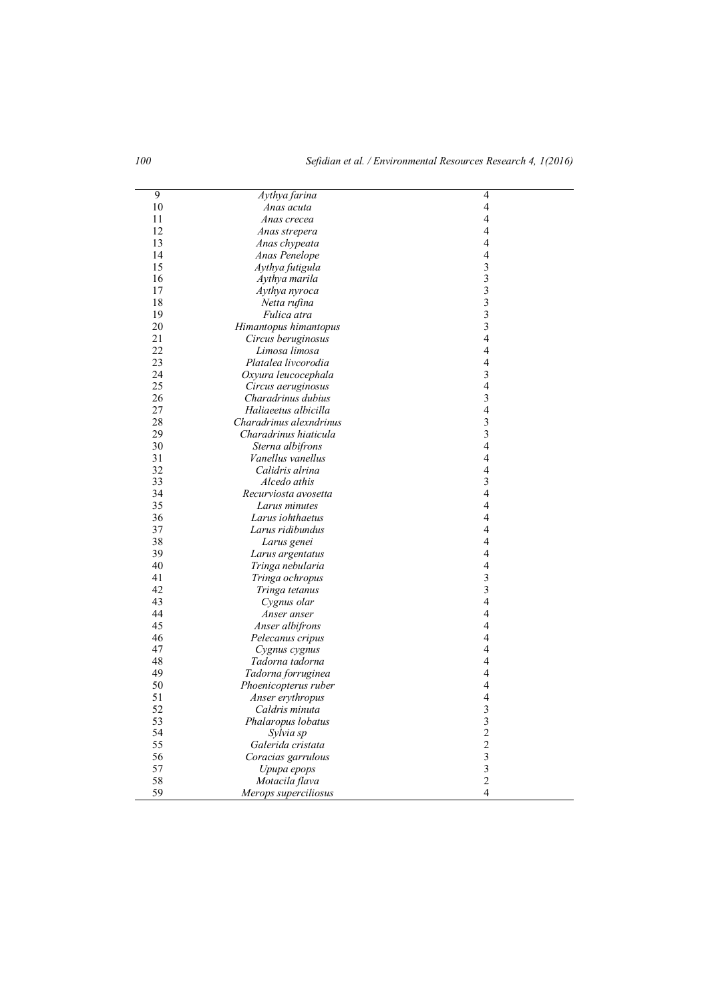| 9  | Aythya farina                  | 4                        |
|----|--------------------------------|--------------------------|
| 10 | Anas acuta                     | 4                        |
| 11 | Anas crecea                    | $\overline{4}$           |
| 12 | Anas strepera                  | $\overline{4}$           |
| 13 | Anas chypeata                  | 4                        |
| 14 | Anas Penelope                  | $\overline{4}$           |
| 15 | Aythya futigula                | $\overline{\mathbf{3}}$  |
| 16 | Aythya marila                  | $\overline{\mathbf{3}}$  |
| 17 | Aythya nyroca                  | $\overline{\mathbf{3}}$  |
| 18 | Netta rufina                   | $\overline{\mathbf{3}}$  |
| 19 | Fulica atra                    | $\overline{\mathbf{3}}$  |
| 20 | Himantopus himantopus          | $\overline{\mathbf{3}}$  |
| 21 | Circus beruginosus             | $\overline{4}$           |
| 22 | Limosa limosa                  | $\overline{\mathbf{4}}$  |
| 23 | Platalea livcorodia            | $\overline{\mathcal{A}}$ |
| 24 | Oxyura leucocephala            | $\overline{\mathbf{3}}$  |
| 25 | Circus aeruginosus             | 4                        |
| 26 | Charadrinus dubius             | $\overline{\mathbf{3}}$  |
| 27 | Haliaeetus albicilla           | $\overline{4}$           |
| 28 | Charadrinus alexndrinus        | 3                        |
| 29 | Charadrinus hiaticula          | $\overline{\mathbf{3}}$  |
| 30 | Sterna albifrons               | $\overline{\mathbf{4}}$  |
| 31 | Vanellus vanellus              | $\overline{4}$           |
| 32 | Calidris alrina                | $\overline{\mathcal{A}}$ |
| 33 | Alcedo athis                   | $\overline{\mathbf{3}}$  |
| 34 | Recurviosta avosetta           | 4                        |
| 35 | Larus minutes                  | $\overline{4}$           |
| 36 | Larus iohthaetus               | 4                        |
| 37 | Larus ridibundus               | $\overline{\mathcal{A}}$ |
| 38 | Larus genei                    | 4                        |
| 39 | Larus argentatus               | $\overline{4}$           |
| 40 | Tringa nebularia               | $\overline{\mathcal{A}}$ |
| 41 | Tringa ochropus                | $\overline{\mathbf{3}}$  |
| 42 | Tringa tetanus                 | $\overline{\mathbf{3}}$  |
| 43 | Cygnus olar                    | 4                        |
| 44 | Anser anser                    | $\overline{4}$           |
| 45 | Anser albifrons                | $\overline{4}$           |
| 46 | Pelecanus cripus               | 4                        |
| 47 | Cygnus cygnus                  | 4                        |
| 48 | Tadorna tadorna                | $\overline{4}$           |
| 49 | Tadorna forruginea             | 4                        |
| 50 | Phoenicopterus ruber           | 4                        |
| 51 | Anser erythropus               | 4                        |
| 52 | Caldris minuta                 | $\overline{\mathbf{3}}$  |
| 53 | Phalaropus lobatus             | $\overline{\mathbf{3}}$  |
| 54 |                                | $\overline{c}$           |
| 55 | Sylvia sp<br>Galerida cristata | $\overline{2}$           |
| 56 |                                | $\overline{\mathbf{3}}$  |
|    | Coracias garrulous             | $\overline{\mathbf{3}}$  |
| 57 | Upupa epops                    |                          |
| 58 | Motacila flava                 | $\overline{c}$           |
| 59 | Merops superciliosus           | 4                        |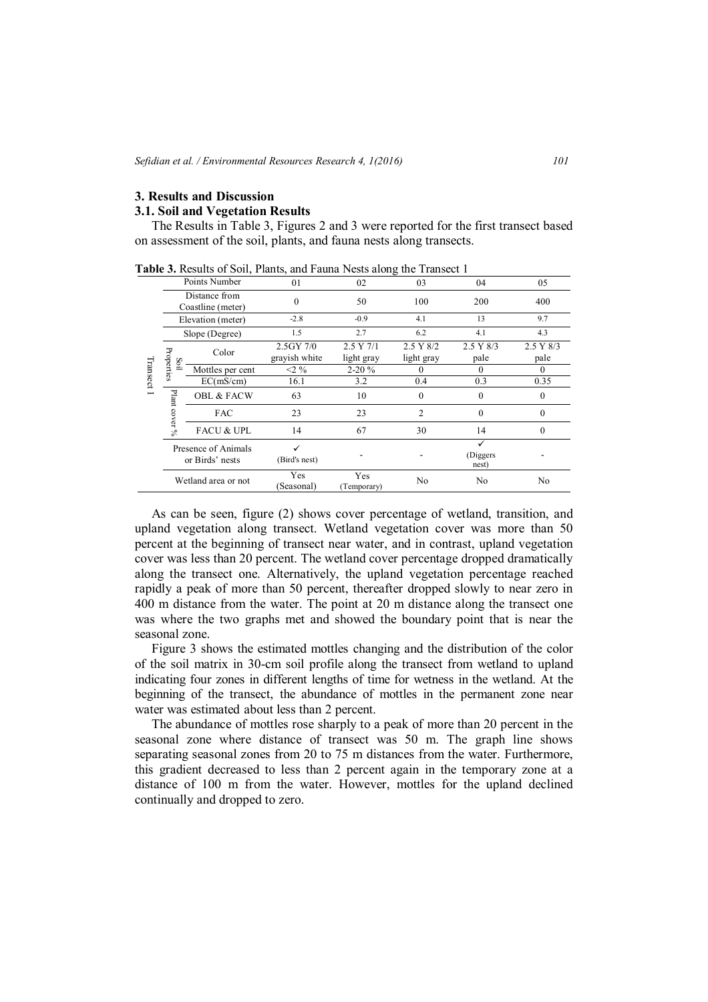#### **3. Results and Discussion**

# **3.1. Soil and Vegetation Results**

The Results in Table 3, Figures 2 and 3 were reported for the first transect based on assessment of the soil, plants, and fauna nests along transects.

| apic 9. Results of Boll, I lattes, and I addit I rests arong the Transect I |                                    |                                        |                            |                         |                         |                    |                   |
|-----------------------------------------------------------------------------|------------------------------------|----------------------------------------|----------------------------|-------------------------|-------------------------|--------------------|-------------------|
| Transect                                                                    | Points Number                      |                                        | 01                         | 02                      | 03                      | 04                 | 05                |
|                                                                             | Distance from<br>Coastline (meter) |                                        | 0                          | 50                      | 100                     | 200                | 400               |
|                                                                             | Elevation (meter)                  |                                        | $-2.8$                     | $-0.9$                  | 4.1                     | 13                 | 9.7               |
|                                                                             |                                    | Slope (Degree)                         | 1.5                        | 2.7                     | 6.2                     | 4.1                | 4.3               |
|                                                                             | Properties                         | Color                                  | 2.5GY 7/0<br>grayish white | 2.5 Y 7/1<br>light gray | 2.5 Y 8/2<br>light gray | 2.5 Y 8/3<br>pale  | 2.5 Y 8/3<br>pale |
|                                                                             | Soil                               | Mottles per cent                       | $<$ 2 %                    | $2 - 20%$               |                         | 0                  | $\Omega$          |
|                                                                             |                                    | EC(mS/cm)                              | 16.1                       | 3.2                     | 0.4                     | 0.3                | 0.35              |
|                                                                             | Plant                              | <b>OBL &amp; FACW</b>                  | 63                         | 10                      | $\theta$                | 0                  | $\theta$          |
|                                                                             | $\cos$ rer %                       | <b>FAC</b>                             | 23                         | 23                      | 2                       | 0                  | $\theta$          |
|                                                                             |                                    | <b>FACU &amp; UPL</b>                  | 14                         | 67                      | 30                      | 14                 | $\mathbf{0}$      |
|                                                                             |                                    | Presence of Animals<br>or Birds' nests | ✓<br>(Bird's nest)         |                         |                         | (Diggers)<br>nest) |                   |
|                                                                             |                                    | Wetland area or not                    | Yes<br>(Seasonal)          | Yes<br>(Temporary)      | No                      | No                 | No                |

**Table 3.** Results of Soil, Plants, and Fauna Nests along the Transect 1

As can be seen, figure (2) shows cover percentage of wetland, transition, and upland vegetation along transect. Wetland vegetation cover was more than 50 percent at the beginning of transect near water, and in contrast, upland vegetation cover was less than 20 percent. The wetland cover percentage dropped dramatically along the transect one. Alternatively, the upland vegetation percentage reached rapidly a peak of more than 50 percent, thereafter dropped slowly to near zero in 400 m distance from the water. The point at 20 m distance along the transect one was where the two graphs met and showed the boundary point that is near the seasonal zone.

Figure 3 shows the estimated mottles changing and the distribution of the color of the soil matrix in 30-cm soil profile along the transect from wetland to upland indicating four zones in different lengths of time for wetness in the wetland. At the beginning of the transect, the abundance of mottles in the permanent zone near water was estimated about less than 2 percent.

The abundance of mottles rose sharply to a peak of more than 20 percent in the seasonal zone where distance of transect was 50 m. The graph line shows separating seasonal zones from 20 to 75 m distances from the water. Furthermore, this gradient decreased to less than 2 percent again in the temporary zone at a distance of 100 m from the water. However, mottles for the upland declined continually and dropped to zero.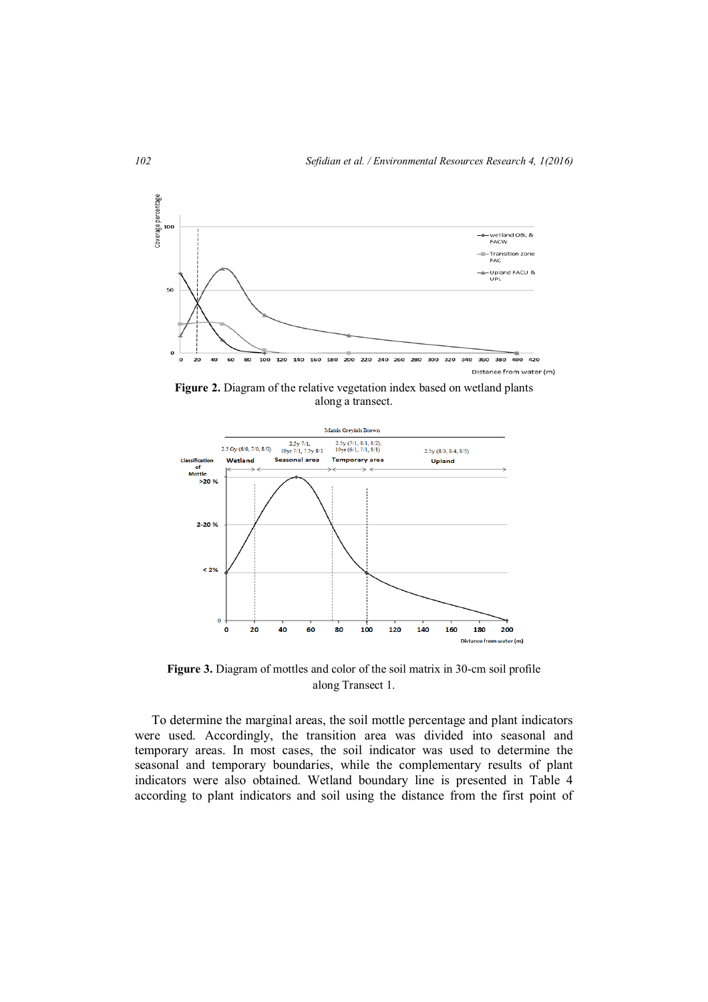

**Figure 2.** Diagram of the relative vegetation index based on wetland plants along a transect.



**Figure 3.** Diagram of mottles and color of the soil matrix in 30-cm soil profile along Transect 1.

To determine the marginal areas, the soil mottle percentage and plant indicators were used. Accordingly, the transition area was divided into seasonal and temporary areas. In most cases, the soil indicator was used to determine the seasonal and temporary boundaries, while the complementary results of plant indicators were also obtained. Wetland boundary line is presented in Table 4 according to plant indicators and soil using the distance from the first point of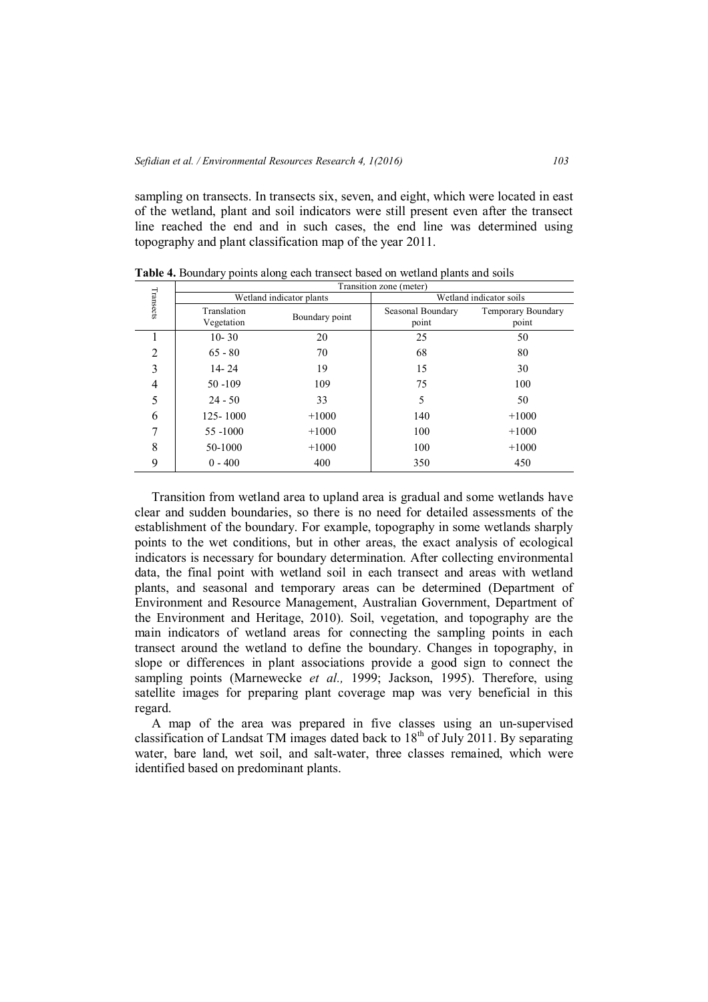sampling on transects. In transects six, seven, and eight, which were located in east of the wetland, plant and soil indicators were still present even after the transect line reached the end and in such cases, the end line was determined using topography and plant classification map of the year 2011.

|                | Transition zone (meter)   |                |                            |                             |  |
|----------------|---------------------------|----------------|----------------------------|-----------------------------|--|
|                | Wetland indicator plants  |                | Wetland indicator soils    |                             |  |
| Transects      | Translation<br>Vegetation | Boundary point | Seasonal Boundary<br>point | Temporary Boundary<br>point |  |
|                | $10 - 30$                 | 20             | 25                         | 50                          |  |
| $\overline{2}$ | $65 - 80$                 | 70             | 68                         | 80                          |  |
| 3              | $14 - 24$                 | 19             | 15                         | 30                          |  |
| 4              | $50 - 109$                | 109            | 75                         | 100                         |  |
| 5              | $24 - 50$                 | 33             | 5                          | 50                          |  |
| 6              | 125-1000                  | $+1000$        | 140                        | $+1000$                     |  |
| 7              | 55 -1000                  | $+1000$        | 100                        | $+1000$                     |  |
| 8              | 50-1000                   | $+1000$        | 100                        | $+1000$                     |  |
| 9              | $0 - 400$                 | 400            | 350                        | 450                         |  |

**Table 4.** Boundary points along each transect based on wetland plants and soils

Transition from wetland area to upland area is gradual and some wetlands have clear and sudden boundaries, so there is no need for detailed assessments of the establishment of the boundary. For example, topography in some wetlands sharply points to the wet conditions, but in other areas, the exact analysis of ecological indicators is necessary for boundary determination. After collecting environmental data, the final point with wetland soil in each transect and areas with wetland plants, and seasonal and temporary areas can be determined (Department of Environment and Resource Management, Australian Government, Department of the Environment and Heritage, 2010). Soil, vegetation, and topography are the main indicators of wetland areas for connecting the sampling points in each transect around the wetland to define the boundary. Changes in topography, in slope or differences in plant associations provide a good sign to connect the sampling points (Marnewecke *et al.,* 1999; Jackson, 1995). Therefore, using satellite images for preparing plant coverage map was very beneficial in this regard.

A map of the area was prepared in five classes using an un-supervised classification of Landsat TM images dated back to  $18<sup>th</sup>$  of July 2011. By separating water, bare land, wet soil, and salt-water, three classes remained, which were identified based on predominant plants.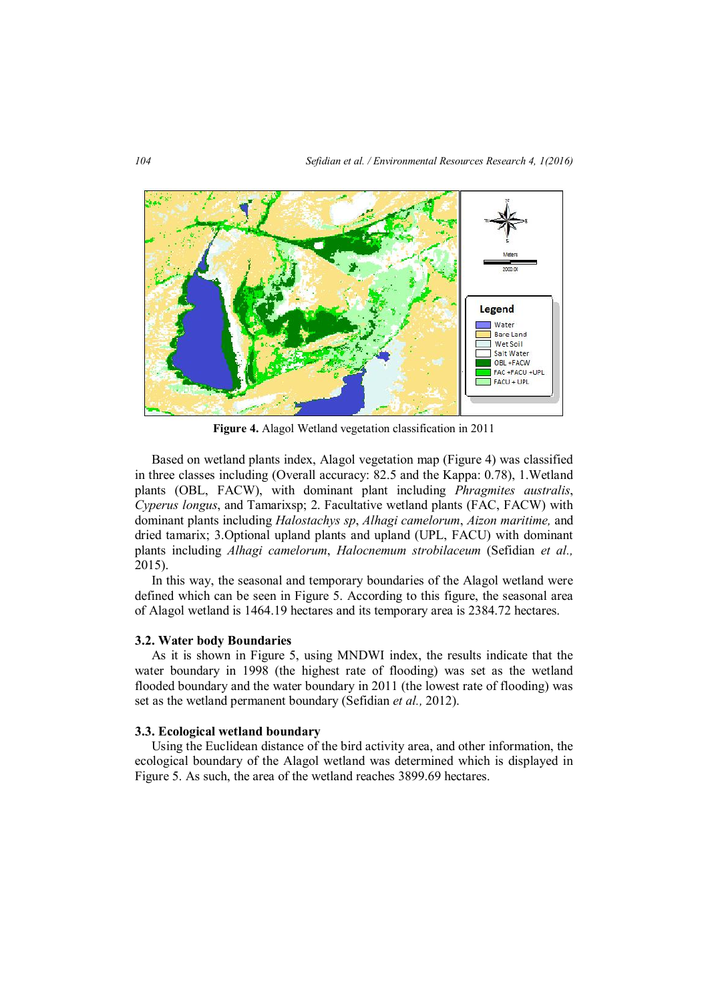

**Figure 4.** Alagol Wetland vegetation classification in 2011

Based on wetland plants index, Alagol vegetation map (Figure 4) was classified in three classes including (Overall accuracy: 82.5 and the Kappa: 0.78), 1.Wetland plants (OBL, FACW), with dominant plant including *Phragmites australis*, *Cyperus longus*, and Tamarixsp; 2. Facultative wetland plants (FAC, FACW) with dominant plants including *Halostachys sp*, *Alhagi camelorum*, *Aizon maritime,* and dried tamarix; 3.Optional upland plants and upland (UPL, FACU) with dominant plants including *Alhagi camelorum*, *Halocnemum strobilaceum* (Sefidian *et al.,* 2015).

In this way, the seasonal and temporary boundaries of the Alagol wetland were defined which can be seen in Figure 5. According to this figure, the seasonal area of Alagol wetland is 1464.19 hectares and its temporary area is 2384.72 hectares.

#### **3.2. Water body Boundaries**

As it is shown in Figure 5, using MNDWI index, the results indicate that the water boundary in 1998 (the highest rate of flooding) was set as the wetland flooded boundary and the water boundary in 2011 (the lowest rate of flooding) was set as the wetland permanent boundary (Sefidian *et al.,* 2012).

## **3.3. Ecological wetland boundary**

Using the Euclidean distance of the bird activity area, and other information, the ecological boundary of the Alagol wetland was determined which is displayed in Figure 5. As such, the area of the wetland reaches 3899.69 hectares.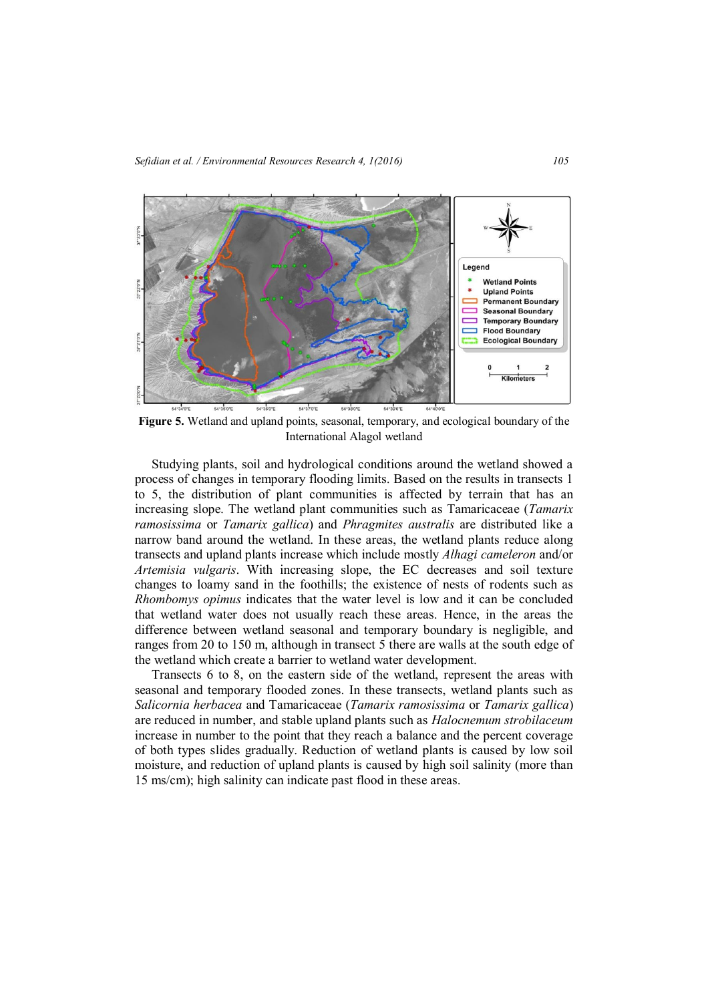

**Figure 5.** Wetland and upland points, seasonal, temporary, and ecological boundary of the International Alagol wetland

Studying plants, soil and hydrological conditions around the wetland showed a process of changes in temporary flooding limits. Based on the results in transects 1 to 5, the distribution of plant communities is affected by terrain that has an increasing slope. The wetland plant communities such as Tamaricaceae (*Tamarix ramosissima* or *Tamarix gallica*) and *Phragmites australis* are distributed like a narrow band around the wetland. In these areas, the wetland plants reduce along transects and upland plants increase which include mostly *Alhagi cameleron* and/or *Artemisia vulgaris*. With increasing slope, the EC decreases and soil texture changes to loamy sand in the foothills; the existence of nests of rodents such as *Rhombomys opimus* indicates that the water level is low and it can be concluded that wetland water does not usually reach these areas. Hence, in the areas the difference between wetland seasonal and temporary boundary is negligible, and ranges from 20 to 150 m, although in transect 5 there are walls at the south edge of the wetland which create a barrier to wetland water development.

Transects 6 to 8, on the eastern side of the wetland, represent the areas with seasonal and temporary flooded zones. In these transects, wetland plants such as *Salicornia herbacea* and Tamaricaceae (*Tamarix ramosissima* or *Tamarix gallica*) are reduced in number, and stable upland plants such as *Halocnemum strobilaceum* increase in number to the point that they reach a balance and the percent coverage of both types slides gradually. Reduction of wetland plants is caused by low soil moisture, and reduction of upland plants is caused by high soil salinity (more than 15 ms/cm); high salinity can indicate past flood in these areas.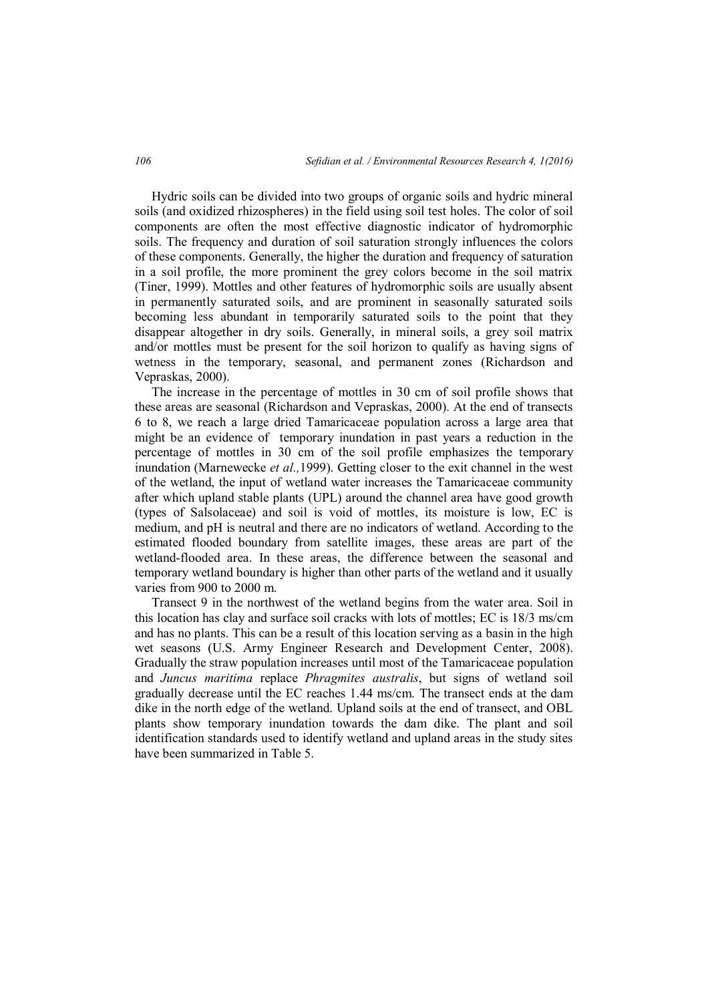Hydric soils can be divided into two groups of organic soils and hydric mineral soils (and oxidized rhizospheres) in the field using soil test holes. The color of soil components are often the most effective diagnostic indicator of hydromorphic soils. The frequency and duration of soil saturation strongly influences the colors of these components. Generally, the higher the duration and frequency of saturation in a soil profile, the more prominent the grey colors become in the soil matrix (Tiner, 1999). Mottles and other features of hydromorphic soils are usually absent in permanently saturated soils, and are prominent in seasonally saturated soils becoming less abundant in temporarily saturated soils to the point that they disappear altogether in dry soils. Generally, in mineral soils, a grey soil matrix and/or mottles must be present for the soil horizon to qualify as having signs of wetness in the temporary, seasonal, and permanent zones (Richardson and Vepraskas, 2000).

The increase in the percentage of mottles in 30 cm of soil profile shows that these areas are seasonal (Richardson and Vepraskas, 2000). At the end of transects 6 to 8, we reach a large dried Tamaricaceae population across a large area that might be an evidence of temporary inundation in past years a reduction in the percentage of mottles in 30 cm of the soil profile emphasizes the temporary inundation (Marnewecke *et al.,*1999). Getting closer to the exit channel in the west of the wetland, the input of wetland water increases the Tamaricaceae community after which upland stable plants (UPL) around the channel area have good growth (types of Salsolaceae) and soil is void of mottles, its moisture is low, EC is medium, and pH is neutral and there are no indicators of wetland. According to the estimated flooded boundary from satellite images, these areas are part of the wetland-flooded area. In these areas, the difference between the seasonal and temporary wetland boundary is higher than other parts of the wetland and it usually varies from 900 to 2000 m.

Transect 9 in the northwest of the wetland begins from the water area. Soil in this location has clay and surface soil cracks with lots of mottles; EC is 18/3 ms/cm and has no plants. This can be a result of this location serving as a basin in the high wet seasons (U.S. Army Engineer Research and Development Center, 2008). Gradually the straw population increases until most of the Tamaricaceae population and *Juncus maritima* replace *Phragmites australis*, but signs of wetland soil gradually decrease until the EC reaches 1.44 ms/cm. The transect ends at the dam dike in the north edge of the wetland. Upland soils at the end of transect, and OBL plants show temporary inundation towards the dam dike. The plant and soil identification standards used to identify wetland and upland areas in the study sites have been summarized in Table 5.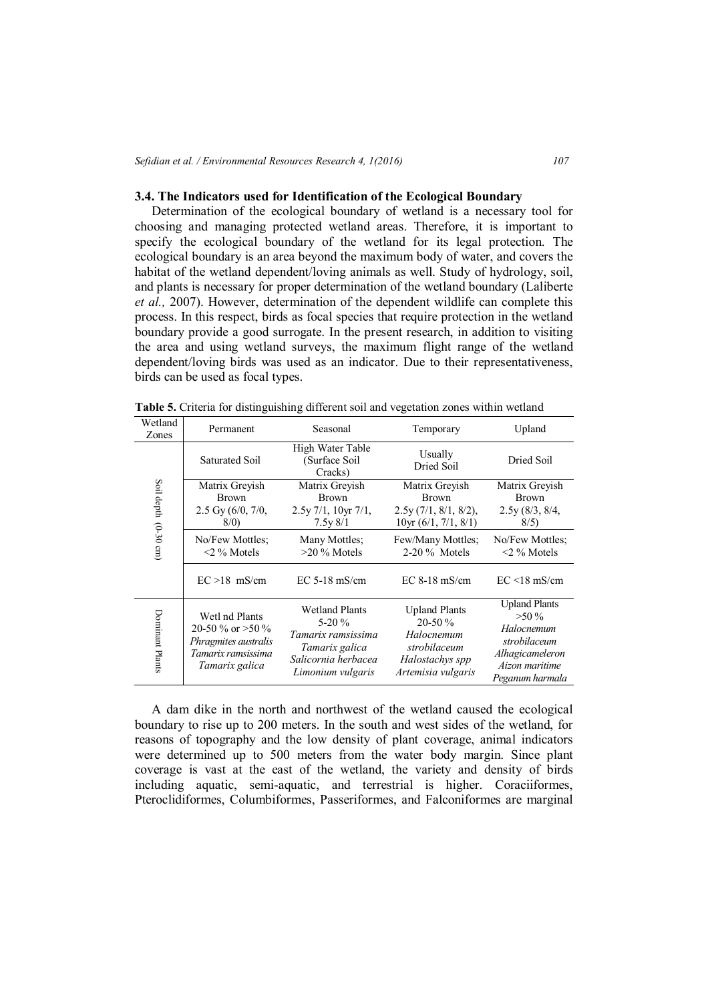#### **3.4. The Indicators used for Identification of the Ecological Boundary**

Determination of the ecological boundary of wetland is a necessary tool for choosing and managing protected wetland areas. Therefore, it is important to specify the ecological boundary of the wetland for its legal protection. The ecological boundary is an area beyond the maximum body of water, and covers the habitat of the wetland dependent/loving animals as well. Study of hydrology, soil, and plants is necessary for proper determination of the wetland boundary (Laliberte *et al.,* 2007). However, determination of the dependent wildlife can complete this process. In this respect, birds as focal species that require protection in the wetland boundary provide a good surrogate. In the present research, in addition to visiting the area and using wetland surveys, the maximum flight range of the wetland dependent/loving birds was used as an indicator. Due to their representativeness, birds can be used as focal types.

| Wetland<br>Zones                  | Permanent                                                                                                                                                                                                                    | Seasonal                                                            | Temporary                                                                                               | Upland                                                                                                                |
|-----------------------------------|------------------------------------------------------------------------------------------------------------------------------------------------------------------------------------------------------------------------------|---------------------------------------------------------------------|---------------------------------------------------------------------------------------------------------|-----------------------------------------------------------------------------------------------------------------------|
| Soil depth<br>$(0-30 \text{ cm})$ | Saturated Soil                                                                                                                                                                                                               | High Water Table<br>(Surface Soil)<br>Cracks)                       | Usually<br>Dried Soil                                                                                   | Dried Soil                                                                                                            |
|                                   | Matrix Greyish<br><b>Brown</b><br>$2.5 \,\mathrm{Gy}$ (6/0, 7/0,<br>8/0                                                                                                                                                      | Matrix Greyish<br><b>Brown</b><br>$2.5y$ 7/1, 10yr 7/1,<br>7.5y 8/1 | Matrix Greyish<br><b>Brown</b><br>$2.5y(7/1, 8/1, 8/2)$ ,<br>10yr (6/1, 7/1, 8/1)                       | Matrix Greyish<br><b>Brown</b><br>2.5y(8/3, 8/4,<br>8/5)                                                              |
|                                   | No/Few Mottles:<br>$\leq$ 2 % Motels                                                                                                                                                                                         | Many Mottles:<br>$>20\%$ Motels                                     | Few/Many Mottles;<br>$2-20\%$ Motels                                                                    | No/Few Mottles:<br>$<$ 2 % Motels                                                                                     |
|                                   | $EC > 18$ mS/cm                                                                                                                                                                                                              | $EC 5-18$ mS/cm                                                     | $EC 8-18$ mS/cm                                                                                         | $EC < 18$ mS/cm                                                                                                       |
| Dominant Plants                   | <b>Wetland Plants</b><br>Wetl nd Plants<br>$5-20%$<br>20-50 % or $>50$ %<br>Tamarix ramsissima<br>Phragmites australis<br>Tamarix galica<br>Tamarix ramsissima<br>Salicornia herbacea<br>Tamarix galica<br>Limonium vulgaris |                                                                     | <b>Upland Plants</b><br>$20-50%$<br>Halocnemum<br>strobilaceum<br>Halostachys spp<br>Artemisia vulgaris | <b>Upland Plants</b><br>$>50\%$<br>Halocnemum<br>strobilaceum<br>Alhagicameleron<br>Aizon maritime<br>Peganum harmala |

**Table 5.** Criteria for distinguishing different soil and vegetation zones within wetland

A dam dike in the north and northwest of the wetland caused the ecological boundary to rise up to 200 meters. In the south and west sides of the wetland, for reasons of topography and the low density of plant coverage, animal indicators were determined up to 500 meters from the water body margin. Since plant coverage is vast at the east of the wetland, the variety and density of birds including aquatic, semi-aquatic, and terrestrial is higher. Coraciiformes, Pteroclidiformes, Columbiformes, Passeriformes, and Falconiformes are marginal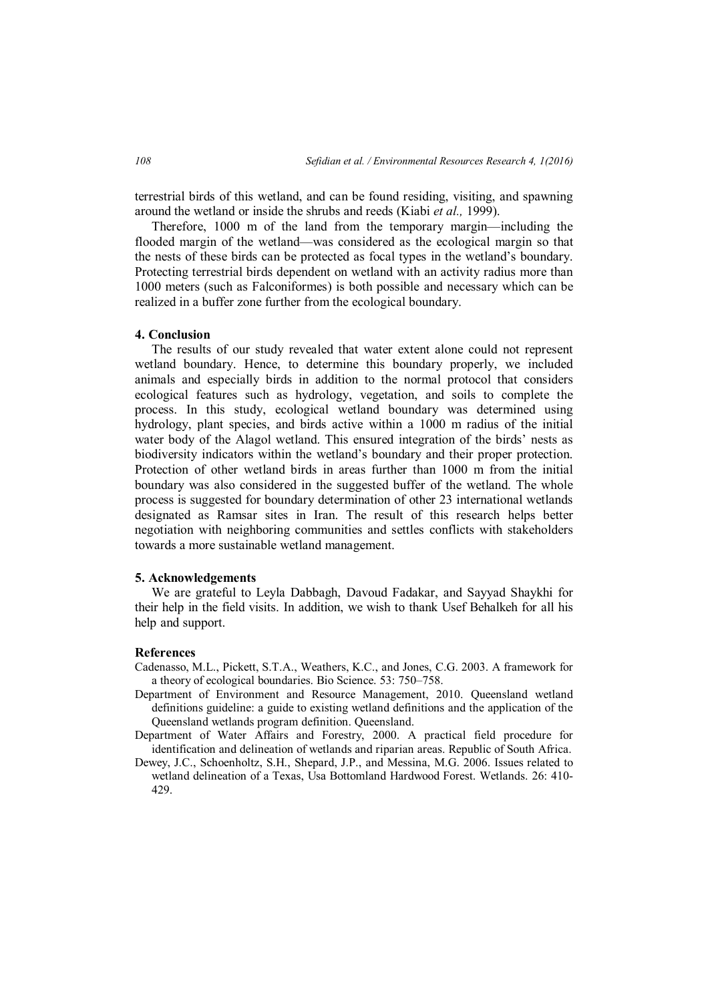terrestrial birds of this wetland, and can be found residing, visiting, and spawning around the wetland or inside the shrubs and reeds (Kiabi *et al.,* 1999).

Therefore, 1000 m of the land from the temporary margin—including the flooded margin of the wetland—was considered as the ecological margin so that the nests of these birds can be protected as focal types in the wetland's boundary. Protecting terrestrial birds dependent on wetland with an activity radius more than 1000 meters (such as Falconiformes) is both possible and necessary which can be realized in a buffer zone further from the ecological boundary.

# **4. Conclusion**

The results of our study revealed that water extent alone could not represent wetland boundary. Hence, to determine this boundary properly, we included animals and especially birds in addition to the normal protocol that considers ecological features such as hydrology, vegetation, and soils to complete the process. In this study, ecological wetland boundary was determined using hydrology, plant species, and birds active within a 1000 m radius of the initial water body of the Alagol wetland. This ensured integration of the birds' nests as biodiversity indicators within the wetland's boundary and their proper protection. Protection of other wetland birds in areas further than 1000 m from the initial boundary was also considered in the suggested buffer of the wetland. The whole process is suggested for boundary determination of other 23 international wetlands designated as Ramsar sites in Iran. The result of this research helps better negotiation with neighboring communities and settles conflicts with stakeholders towards a more sustainable wetland management.

## **5. Acknowledgements**

We are grateful to Leyla Dabbagh, Davoud Fadakar, and Sayyad Shaykhi for their help in the field visits. In addition, we wish to thank Usef Behalkeh for all his help and support.

## **References**

- Cadenasso, M.L., Pickett, S.T.A., Weathers, K.C., and Jones, C.G. 2003. A framework for a theory of ecological boundaries. Bio Science. 53: 750–758.
- Department of Environment and Resource Management, 2010. Queensland wetland definitions guideline: a guide to existing wetland definitions and the application of the Queensland wetlands program definition. Queensland.
- Department of Water Affairs and Forestry, 2000. A practical field procedure for identification and delineation of wetlands and riparian areas. Republic of South Africa.
- Dewey, J.C., Schoenholtz, S.H., Shepard, J.P., and Messina, M.G. 2006. Issues related to wetland delineation of a Texas, Usa Bottomland Hardwood Forest. Wetlands. 26: 410- 429.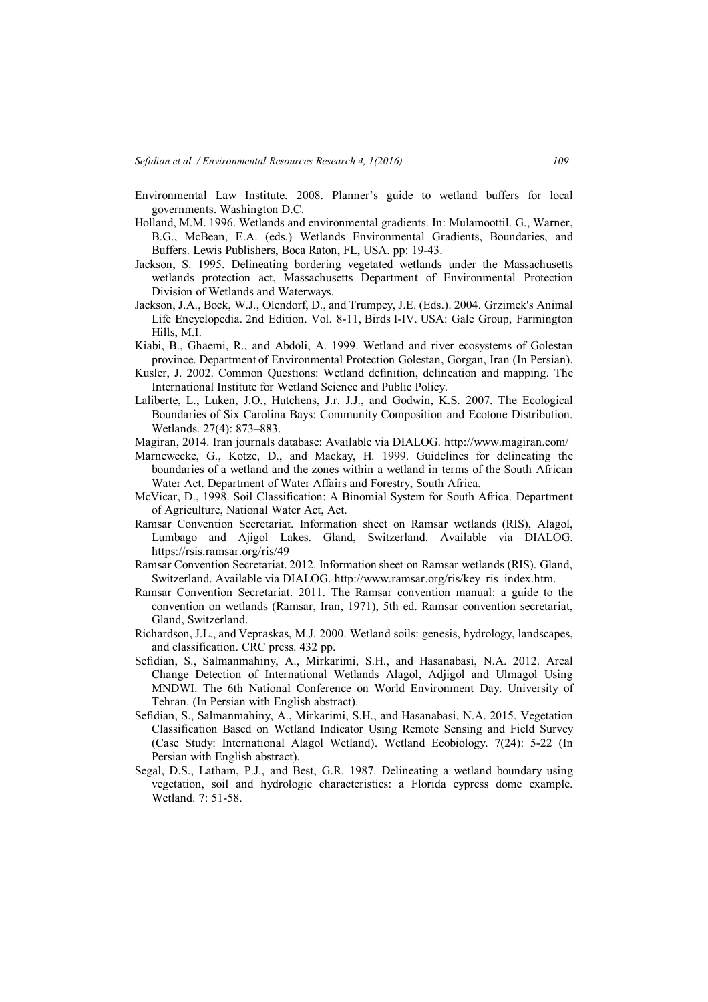- Environmental Law Institute. 2008. Planner's guide to wetland buffers for local governments. Washington D.C.
- Holland, M.M. 1996. Wetlands and environmental gradients. In: Mulamoottil. G., Warner, B.G., McBean, E.A. (eds.) Wetlands Environmental Gradients, Boundaries, and Buffers. Lewis Publishers, Boca Raton, FL, USA. pp: 19-43.
- Jackson, S. 1995. Delineating bordering vegetated wetlands under the Massachusetts wetlands protection act, Massachusetts Department of Environmental Protection Division of Wetlands and Waterways.
- Jackson, J.A., Bock, W.J., Olendorf, D., and Trumpey, J.E. (Eds.). 2004. Grzimek's Animal Life Encyclopedia. 2nd Edition. Vol. 8-11, Birds I-IV. USA: Gale Group, Farmington Hills, M.I.
- Kiabi, B., Ghaemi, R., and Abdoli, A. 1999. Wetland and river ecosystems of Golestan province. Department of Environmental Protection Golestan, Gorgan, Iran (In Persian).
- Kusler, J. 2002. Common Questions: Wetland definition, delineation and mapping. The International Institute for Wetland Science and Public Policy.
- Laliberte, L., Luken, J.O., Hutchens, J.r. J.J., and Godwin, K.S. 2007. The Ecological Boundaries of Six Carolina Bays: Community Composition and Ecotone Distribution. Wetlands. 27(4): 873–883.
- Magiran, 2014. Iran journals database: Available via DIALOG. http://www.magiran.com/
- Marnewecke, G., Kotze, D., and Mackay, H. 1999. Guidelines for delineating the boundaries of a wetland and the zones within a wetland in terms of the South African Water Act. Department of Water Affairs and Forestry, South Africa.
- McVicar, D., 1998. Soil Classification: A Binomial System for South Africa. Department of Agriculture, National Water Act, Act.
- Ramsar Convention Secretariat. Information sheet on Ramsar wetlands (RIS), Alagol, Lumbago and Ajigol Lakes. Gland, Switzerland. Available via DIALOG. https://rsis.ramsar.org/ris/49
- Ramsar Convention Secretariat. 2012. Information sheet on Ramsar wetlands (RIS). Gland, Switzerland. Available via DIALOG. http://www.ramsar.org/ris/key\_ris\_index.htm.
- Ramsar Convention Secretariat. 2011. The Ramsar convention manual: a guide to the convention on wetlands (Ramsar, Iran, 1971), 5th ed. Ramsar convention secretariat, Gland, Switzerland.
- Richardson, J.L., and Vepraskas, M.J. 2000. Wetland soils: genesis, hydrology, landscapes, and classification. CRC press. 432 pp.
- Sefidian, S., Salmanmahiny, A., Mirkarimi, S.H., and Hasanabasi, N.A. 2012. Areal Change Detection of International Wetlands Alagol, Adjigol and Ulmagol Using MNDWI. The 6th National Conference on World Environment Day. University of Tehran. (In Persian with English abstract).
- Sefidian, S., Salmanmahiny, A., Mirkarimi, S.H., and Hasanabasi, N.A. 2015. Vegetation Classification Based on Wetland Indicator Using Remote Sensing and Field Survey (Case Study: International Alagol Wetland). Wetland Ecobiology. 7(24): 5-22 (In Persian with English abstract).
- Segal, D.S., Latham, P.J., and Best, G.R. 1987. Delineating a wetland boundary using vegetation, soil and hydrologic characteristics: a Florida cypress dome example. Wetland. 7: 51-58.